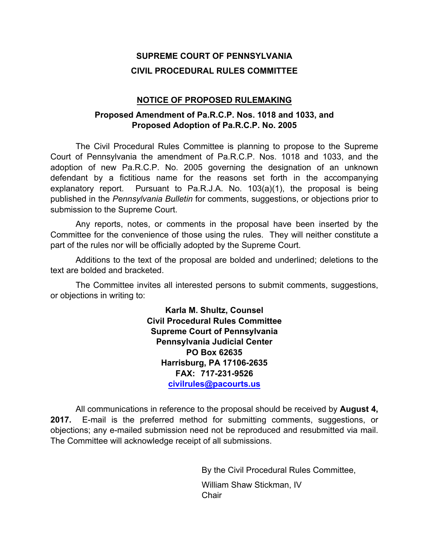# **SUPREME COURT OF PENNSYLVANIA CIVIL PROCEDURAL RULES COMMITTEE**

# **NOTICE OF PROPOSED RULEMAKING**

# **Proposed Amendment of Pa.R.C.P. Nos. 1018 and 1033, and Proposed Adoption of Pa.R.C.P. No. 2005**

The Civil Procedural Rules Committee is planning to propose to the Supreme Court of Pennsylvania the amendment of Pa.R.C.P. Nos. 1018 and 1033, and the adoption of new Pa.R.C.P. No. 2005 governing the designation of an unknown defendant by a fictitious name for the reasons set forth in the accompanying explanatory report. Pursuant to Pa.R.J.A. No. 103(a)(1), the proposal is being published in the *Pennsylvania Bulletin* for comments, suggestions, or objections prior to submission to the Supreme Court.

Any reports, notes, or comments in the proposal have been inserted by the Committee for the convenience of those using the rules. They will neither constitute a part of the rules nor will be officially adopted by the Supreme Court.

Additions to the text of the proposal are bolded and underlined; deletions to the text are bolded and bracketed.

The Committee invites all interested persons to submit comments, suggestions, or objections in writing to:

> **Karla M. Shultz, Counsel Civil Procedural Rules Committee Supreme Court of Pennsylvania Pennsylvania Judicial Center PO Box 62635 Harrisburg, PA 17106-2635 FAX: 717-231-9526 civilrules@pacourts.us**

All communications in reference to the proposal should be received by **August 4, 2017.** E-mail is the preferred method for submitting comments, suggestions, or objections; any e-mailed submission need not be reproduced and resubmitted via mail. The Committee will acknowledge receipt of all submissions.

> By the Civil Procedural Rules Committee, William Shaw Stickman, IV **Chair**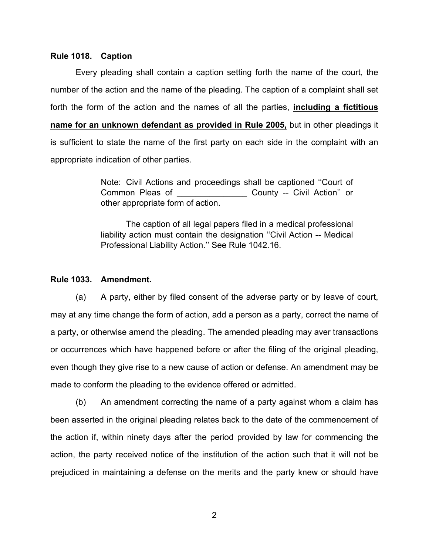#### **Rule 1018. Caption**

Every pleading shall contain a caption setting forth the name of the court, the number of the action and the name of the pleading. The caption of a complaint shall set forth the form of the action and the names of all the parties, **including a fictitious name for an unknown defendant as provided in Rule 2005,** but in other pleadings it is sufficient to state the name of the first party on each side in the complaint with an appropriate indication of other parties.

> Note: Civil Actions and proceedings shall be captioned ''Court of Common Pleas of \_\_\_\_\_\_\_\_\_\_\_\_\_\_\_ County -- Civil Action'' or other appropriate form of action.

> The caption of all legal papers filed in a medical professional liability action must contain the designation ''Civil Action -- Medical Professional Liability Action.'' See Rule 1042.16.

## **Rule 1033. Amendment.**

(a) A party, either by filed consent of the adverse party or by leave of court, may at any time change the form of action, add a person as a party, correct the name of a party, or otherwise amend the pleading. The amended pleading may aver transactions or occurrences which have happened before or after the filing of the original pleading, even though they give rise to a new cause of action or defense. An amendment may be made to conform the pleading to the evidence offered or admitted.

(b) An amendment correcting the name of a party against whom a claim has been asserted in the original pleading relates back to the date of the commencement of the action if, within ninety days after the period provided by law for commencing the action, the party received notice of the institution of the action such that it will not be prejudiced in maintaining a defense on the merits and the party knew or should have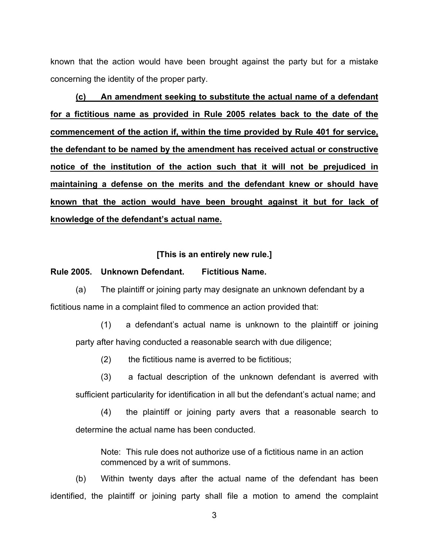known that the action would have been brought against the party but for a mistake concerning the identity of the proper party.

**(c) An amendment seeking to substitute the actual name of a defendant for a fictitious name as provided in Rule 2005 relates back to the date of the commencement of the action if, within the time provided by Rule 401 for service, the defendant to be named by the amendment has received actual or constructive notice of the institution of the action such that it will not be prejudiced in maintaining a defense on the merits and the defendant knew or should have known that the action would have been brought against it but for lack of knowledge of the defendant's actual name.**

## **[This is an entirely new rule.]**

### **Rule 2005. Unknown Defendant. Fictitious Name.**

(a) The plaintiff or joining party may designate an unknown defendant by a fictitious name in a complaint filed to commence an action provided that:

(1) a defendant's actual name is unknown to the plaintiff or joining party after having conducted a reasonable search with due diligence;

(2) the fictitious name is averred to be fictitious;

(3) a factual description of the unknown defendant is averred with sufficient particularity for identification in all but the defendant's actual name; and

(4) the plaintiff or joining party avers that a reasonable search to determine the actual name has been conducted.

Note: This rule does not authorize use of a fictitious name in an action commenced by a writ of summons.

(b) Within twenty days after the actual name of the defendant has been identified, the plaintiff or joining party shall file a motion to amend the complaint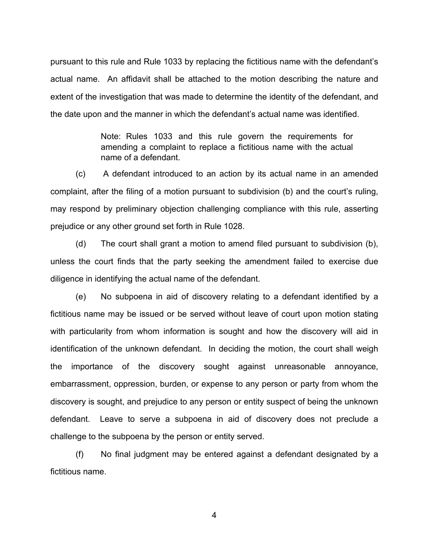pursuant to this rule and Rule 1033 by replacing the fictitious name with the defendant's actual name. An affidavit shall be attached to the motion describing the nature and extent of the investigation that was made to determine the identity of the defendant, and the date upon and the manner in which the defendant's actual name was identified.

> Note: Rules 1033 and this rule govern the requirements for amending a complaint to replace a fictitious name with the actual name of a defendant.

(c) A defendant introduced to an action by its actual name in an amended complaint, after the filing of a motion pursuant to subdivision (b) and the court's ruling, may respond by preliminary objection challenging compliance with this rule, asserting prejudice or any other ground set forth in Rule 1028.

(d) The court shall grant a motion to amend filed pursuant to subdivision (b), unless the court finds that the party seeking the amendment failed to exercise due diligence in identifying the actual name of the defendant.

(e) No subpoena in aid of discovery relating to a defendant identified by a fictitious name may be issued or be served without leave of court upon motion stating with particularity from whom information is sought and how the discovery will aid in identification of the unknown defendant. In deciding the motion, the court shall weigh the importance of the discovery sought against unreasonable annoyance, embarrassment, oppression, burden, or expense to any person or party from whom the discovery is sought, and prejudice to any person or entity suspect of being the unknown defendant. Leave to serve a subpoena in aid of discovery does not preclude a challenge to the subpoena by the person or entity served.

(f) No final judgment may be entered against a defendant designated by a fictitious name.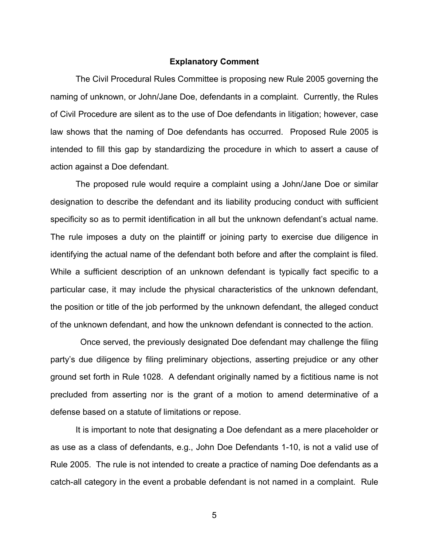### **Explanatory Comment**

The Civil Procedural Rules Committee is proposing new Rule 2005 governing the naming of unknown, or John/Jane Doe, defendants in a complaint. Currently, the Rules of Civil Procedure are silent as to the use of Doe defendants in litigation; however, case law shows that the naming of Doe defendants has occurred. Proposed Rule 2005 is intended to fill this gap by standardizing the procedure in which to assert a cause of action against a Doe defendant.

The proposed rule would require a complaint using a John/Jane Doe or similar designation to describe the defendant and its liability producing conduct with sufficient specificity so as to permit identification in all but the unknown defendant's actual name. The rule imposes a duty on the plaintiff or joining party to exercise due diligence in identifying the actual name of the defendant both before and after the complaint is filed. While a sufficient description of an unknown defendant is typically fact specific to a particular case, it may include the physical characteristics of the unknown defendant, the position or title of the job performed by the unknown defendant, the alleged conduct of the unknown defendant, and how the unknown defendant is connected to the action.

 Once served, the previously designated Doe defendant may challenge the filing party's due diligence by filing preliminary objections, asserting prejudice or any other ground set forth in Rule 1028. A defendant originally named by a fictitious name is not precluded from asserting nor is the grant of a motion to amend determinative of a defense based on a statute of limitations or repose.

It is important to note that designating a Doe defendant as a mere placeholder or as use as a class of defendants, e.g., John Doe Defendants 1-10, is not a valid use of Rule 2005. The rule is not intended to create a practice of naming Doe defendants as a catch-all category in the event a probable defendant is not named in a complaint. Rule